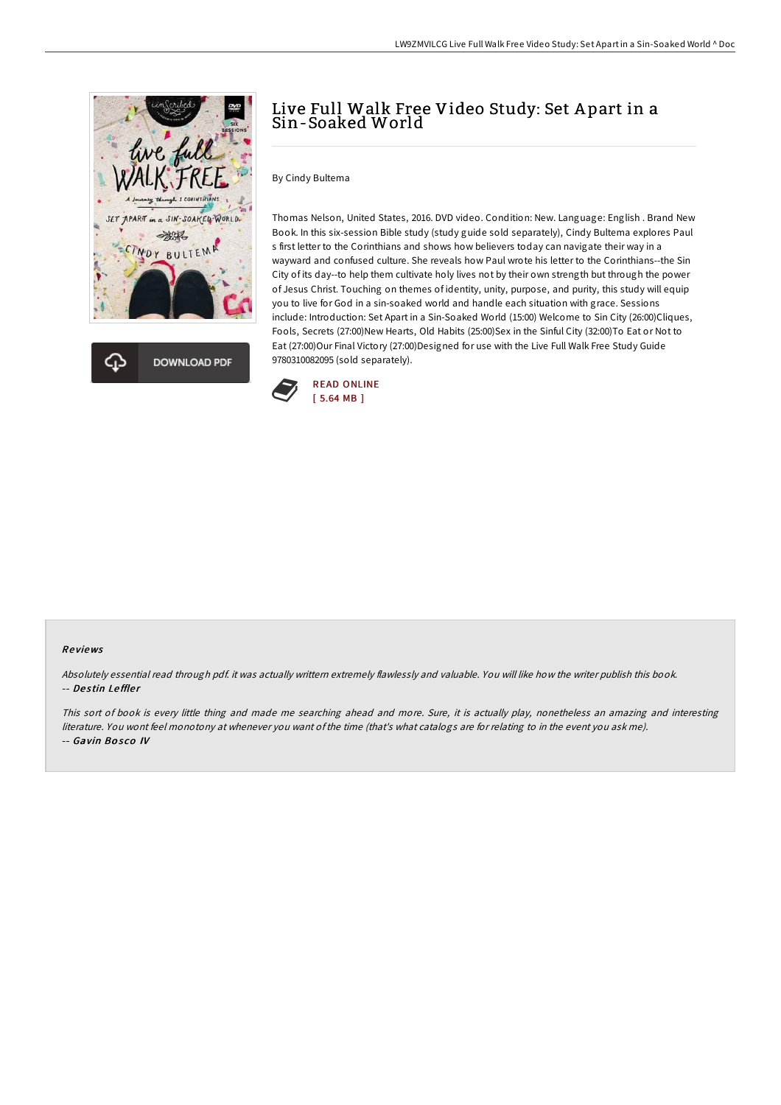



## Live Full Walk Free Video Study: Set A part in a Sin-Soaked World

By Cindy Bultema

Thomas Nelson, United States, 2016. DVD video. Condition: New. Language: English . Brand New Book. In this six-session Bible study (study guide sold separately), Cindy Bultema explores Paul s first letter to the Corinthians and shows how believers today can navigate their way in a wayward and confused culture. She reveals how Paul wrote his letter to the Corinthians--the Sin City of its day--to help them cultivate holy lives not by their own strength but through the power of Jesus Christ. Touching on themes of identity, unity, purpose, and purity, this study will equip you to live for God in a sin-soaked world and handle each situation with grace. Sessions include: Introduction: Set Apart in a Sin-Soaked World (15:00) Welcome to Sin City (26:00)Cliques, Fools, Secrets (27:00)New Hearts, Old Habits (25:00)Sex in the Sinful City (32:00)To Eat or Not to Eat (27:00)Our Final Victory (27:00)Designed for use with the Live Full Walk Free Study Guide 9780310082095 (sold separately).



#### Re views

Absolutely essential read through pdf. it was actually writtern extremely flawlessly and valuable. You will like how the writer publish this book. -- Destin Leffler

This sort of book is every little thing and made me searching ahead and more. Sure, it is actually play, nonetheless an amazing and interesting literature. You wont feel monotony at whenever you want ofthe time (that's what catalogs are for relating to in the event you ask me). -- Gavin Bosco IV